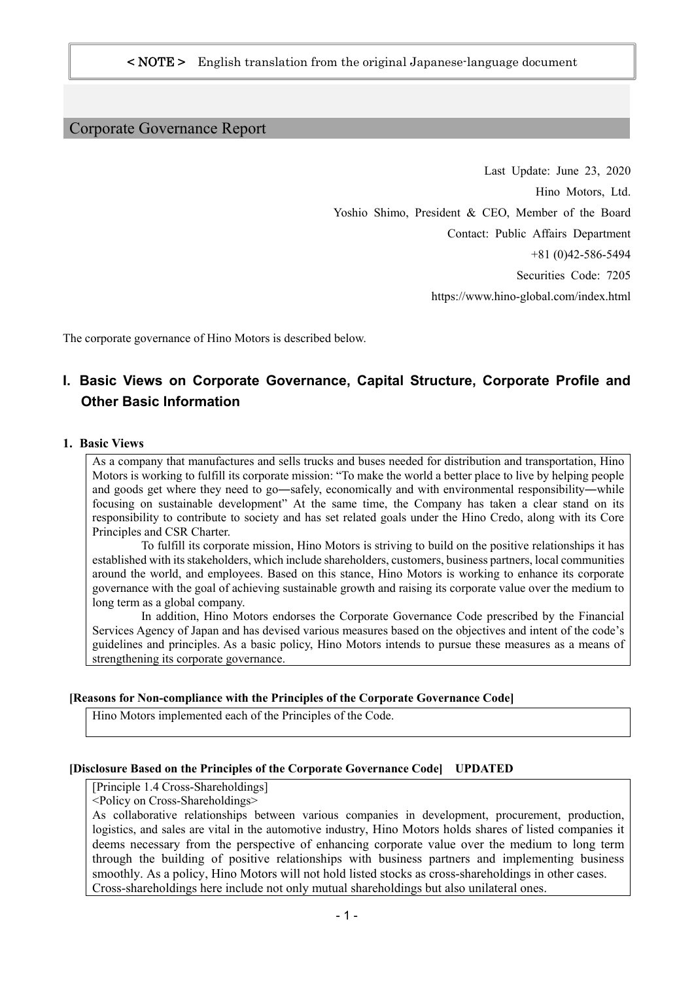#### Corporate Governance Report

Last Update: June 23, 2020 Hino Motors, Ltd. Yoshio Shimo, President & CEO, Member of the Board Contact: Public Affairs Department +81 (0)42-586-5494 Securities Code: 7205 https://www.hino-global.com/index.html

The corporate governance of Hino Motors is described below.

# **I. Basic Views on Corporate Governance, Capital Structure, Corporate Profile and Other Basic Information**

#### **1. Basic Views**

As a company that manufactures and sells trucks and buses needed for distribution and transportation, Hino Motors is working to fulfill its corporate mission: "To make the world a better place to live by helping people and goods get where they need to go―safely, economically and with environmental responsibility―while focusing on sustainable development" At the same time, the Company has taken a clear stand on its responsibility to contribute to society and has set related goals under the Hino Credo, along with its Core Principles and CSR Charter.

 To fulfill its corporate mission, Hino Motors is striving to build on the positive relationships it has established with its stakeholders, which include shareholders, customers, business partners, local communities around the world, and employees. Based on this stance, Hino Motors is working to enhance its corporate governance with the goal of achieving sustainable growth and raising its corporate value over the medium to long term as a global company.

 In addition, Hino Motors endorses the Corporate Governance Code prescribed by the Financial Services Agency of Japan and has devised various measures based on the objectives and intent of the code's guidelines and principles. As a basic policy, Hino Motors intends to pursue these measures as a means of strengthening its corporate governance.

#### **[Reasons for Non-compliance with the Principles of the Corporate Governance Code]**

Hino Motors implemented each of the Principles of the Code.

#### **[Disclosure Based on the Principles of the Corporate Governance Code] UPDATED**

[Principle 1.4 Cross-Shareholdings]

<Policy on Cross-Shareholdings>

As collaborative relationships between various companies in development, procurement, production, logistics, and sales are vital in the automotive industry, Hino Motors holds shares of listed companies it deems necessary from the perspective of enhancing corporate value over the medium to long term through the building of positive relationships with business partners and implementing business smoothly. As a policy, Hino Motors will not hold listed stocks as cross-shareholdings in other cases. Cross-shareholdings here include not only mutual shareholdings but also unilateral ones.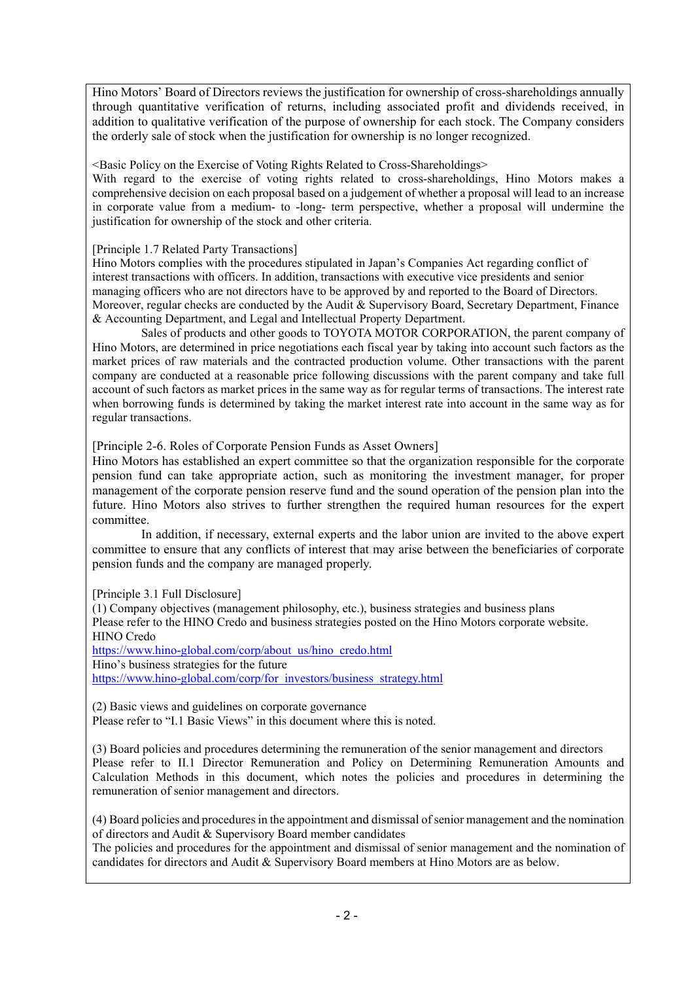Hino Motors' Board of Directors reviews the justification for ownership of cross-shareholdings annually through quantitative verification of returns, including associated profit and dividends received, in addition to qualitative verification of the purpose of ownership for each stock. The Company considers the orderly sale of stock when the justification for ownership is no longer recognized.

<Basic Policy on the Exercise of Voting Rights Related to Cross-Shareholdings>

With regard to the exercise of voting rights related to cross-shareholdings, Hino Motors makes a comprehensive decision on each proposal based on a judgement of whether a proposal will lead to an increase in corporate value from a medium- to -long- term perspective, whether a proposal will undermine the justification for ownership of the stock and other criteria.

[Principle 1.7 Related Party Transactions]

Hino Motors complies with the procedures stipulated in Japan's Companies Act regarding conflict of interest transactions with officers. In addition, transactions with executive vice presidents and senior managing officers who are not directors have to be approved by and reported to the Board of Directors. Moreover, regular checks are conducted by the Audit & Supervisory Board, Secretary Department, Finance & Accounting Department, and Legal and Intellectual Property Department.

 Sales of products and other goods to TOYOTA MOTOR CORPORATION, the parent company of Hino Motors, are determined in price negotiations each fiscal year by taking into account such factors as the market prices of raw materials and the contracted production volume. Other transactions with the parent company are conducted at a reasonable price following discussions with the parent company and take full account of such factors as market prices in the same way as for regular terms of transactions. The interest rate when borrowing funds is determined by taking the market interest rate into account in the same way as for regular transactions.

[Principle 2-6. Roles of Corporate Pension Funds as Asset Owners]

Hino Motors has established an expert committee so that the organization responsible for the corporate pension fund can take appropriate action, such as monitoring the investment manager, for proper management of the corporate pension reserve fund and the sound operation of the pension plan into the future. Hino Motors also strives to further strengthen the required human resources for the expert committee.

In addition, if necessary, external experts and the labor union are invited to the above expert committee to ensure that any conflicts of interest that may arise between the beneficiaries of corporate pension funds and the company are managed properly.

[Principle 3.1 Full Disclosure]

(1) Company objectives (management philosophy, etc.), business strategies and business plans Please refer to the HINO Credo and business strategies posted on the Hino Motors corporate website. HINO Credo https://www.hino-global.com/corp/about\_us/hino\_credo.html

Hino's business strategies for the future https://www.hino-global.com/corp/for\_investors/business\_strategy.html

(2) Basic views and guidelines on corporate governance Please refer to "I.1 Basic Views" in this document where this is noted.

(3) Board policies and procedures determining the remuneration of the senior management and directors Please refer to II.1 Director Remuneration and Policy on Determining Remuneration Amounts and Calculation Methods in this document, which notes the policies and procedures in determining the remuneration of senior management and directors.

(4) Board policies and procedures in the appointment and dismissal of senior management and the nomination of directors and Audit & Supervisory Board member candidates

The policies and procedures for the appointment and dismissal of senior management and the nomination of candidates for directors and Audit & Supervisory Board members at Hino Motors are as below.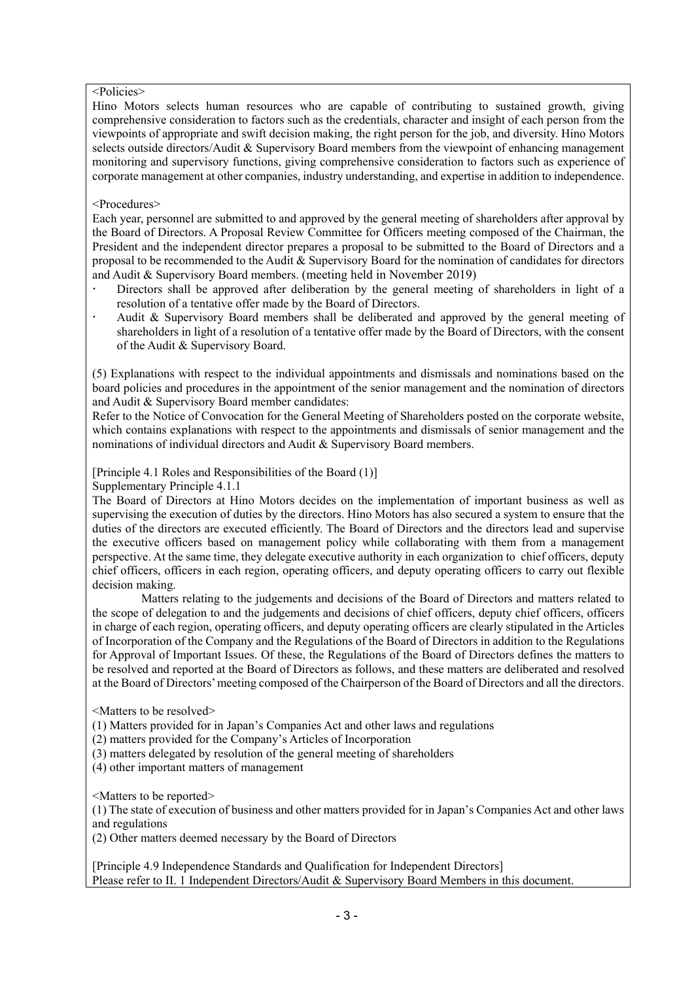#### <Policies>

Hino Motors selects human resources who are capable of contributing to sustained growth, giving comprehensive consideration to factors such as the credentials, character and insight of each person from the viewpoints of appropriate and swift decision making, the right person for the job, and diversity. Hino Motors selects outside directors/Audit & Supervisory Board members from the viewpoint of enhancing management monitoring and supervisory functions, giving comprehensive consideration to factors such as experience of corporate management at other companies, industry understanding, and expertise in addition to independence.

#### <Procedures>

Each year, personnel are submitted to and approved by the general meeting of shareholders after approval by the Board of Directors. A Proposal Review Committee for Officers meeting composed of the Chairman, the President and the independent director prepares a proposal to be submitted to the Board of Directors and a proposal to be recommended to the Audit & Supervisory Board for the nomination of candidates for directors and Audit & Supervisory Board members. (meeting held in November 2019)

- Directors shall be approved after deliberation by the general meeting of shareholders in light of a resolution of a tentative offer made by the Board of Directors.
- Audit & Supervisory Board members shall be deliberated and approved by the general meeting of shareholders in light of a resolution of a tentative offer made by the Board of Directors, with the consent of the Audit & Supervisory Board.

(5) Explanations with respect to the individual appointments and dismissals and nominations based on the board policies and procedures in the appointment of the senior management and the nomination of directors and Audit & Supervisory Board member candidates:

Refer to the Notice of Convocation for the General Meeting of Shareholders posted on the corporate website, which contains explanations with respect to the appointments and dismissals of senior management and the nominations of individual directors and Audit & Supervisory Board members.

[Principle 4.1 Roles and Responsibilities of the Board (1)]

Supplementary Principle 4.1.1

The Board of Directors at Hino Motors decides on the implementation of important business as well as supervising the execution of duties by the directors. Hino Motors has also secured a system to ensure that the duties of the directors are executed efficiently. The Board of Directors and the directors lead and supervise the executive officers based on management policy while collaborating with them from a management perspective. At the same time, they delegate executive authority in each organization to chief officers, deputy chief officers, officers in each region, operating officers, and deputy operating officers to carry out flexible decision making.

 Matters relating to the judgements and decisions of the Board of Directors and matters related to the scope of delegation to and the judgements and decisions of chief officers, deputy chief officers, officers in charge of each region, operating officers, and deputy operating officers are clearly stipulated in the Articles of Incorporation of the Company and the Regulations of the Board of Directors in addition to the Regulations for Approval of Important Issues. Of these, the Regulations of the Board of Directors defines the matters to be resolved and reported at the Board of Directors as follows, and these matters are deliberated and resolved at the Board of Directors' meeting composed of the Chairperson of the Board of Directors and all the directors.

<Matters to be resolved>

(1) Matters provided for in Japan's Companies Act and other laws and regulations

(2) matters provided for the Company's Articles of Incorporation

(3) matters delegated by resolution of the general meeting of shareholders

(4) other important matters of management

<Matters to be reported>

(1) The state of execution of business and other matters provided for in Japan's Companies Act and other laws and regulations

(2) Other matters deemed necessary by the Board of Directors

[Principle 4.9 Independence Standards and Qualification for Independent Directors] Please refer to II. 1 Independent Directors/Audit & Supervisory Board Members in this document.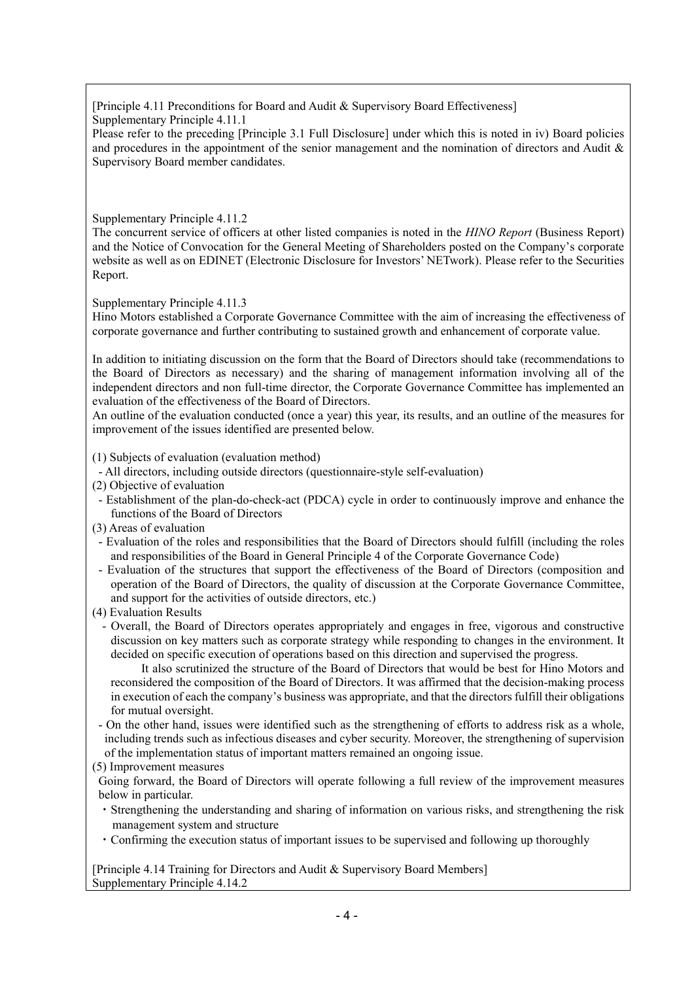[Principle 4.11 Preconditions for Board and Audit & Supervisory Board Effectiveness] Supplementary Principle 4.11.1

Please refer to the preceding [Principle 3.1 Full Disclosure] under which this is noted in iv) Board policies and procedures in the appointment of the senior management and the nomination of directors and Audit  $\&$ Supervisory Board member candidates.

#### Supplementary Principle 4.11.2

The concurrent service of officers at other listed companies is noted in the *HINO Report* (Business Report) and the Notice of Convocation for the General Meeting of Shareholders posted on the Company's corporate website as well as on EDINET (Electronic Disclosure for Investors' NETwork). Please refer to the Securities Report.

Supplementary Principle 4.11.3

Hino Motors established a Corporate Governance Committee with the aim of increasing the effectiveness of corporate governance and further contributing to sustained growth and enhancement of corporate value.

In addition to initiating discussion on the form that the Board of Directors should take (recommendations to the Board of Directors as necessary) and the sharing of management information involving all of the independent directors and non full-time director, the Corporate Governance Committee has implemented an evaluation of the effectiveness of the Board of Directors.

An outline of the evaluation conducted (once a year) this year, its results, and an outline of the measures for improvement of the issues identified are presented below.

(1) Subjects of evaluation (evaluation method)

- All directors, including outside directors (questionnaire-style self-evaluation)
- (2) Objective of evaluation
- Establishment of the plan-do-check-act (PDCA) cycle in order to continuously improve and enhance the functions of the Board of Directors

(3) Areas of evaluation

- Evaluation of the roles and responsibilities that the Board of Directors should fulfill (including the roles and responsibilities of the Board in General Principle 4 of the Corporate Governance Code)
- Evaluation of the structures that support the effectiveness of the Board of Directors (composition and operation of the Board of Directors, the quality of discussion at the Corporate Governance Committee, and support for the activities of outside directors, etc.)
- (4) Evaluation Results
	- Overall, the Board of Directors operates appropriately and engages in free, vigorous and constructive discussion on key matters such as corporate strategy while responding to changes in the environment. It decided on specific execution of operations based on this direction and supervised the progress.

 It also scrutinized the structure of the Board of Directors that would be best for Hino Motors and reconsidered the composition of the Board of Directors. It was affirmed that the decision-making process in execution of each the company's business was appropriate, and that the directors fulfill their obligations for mutual oversight.

- On the other hand, issues were identified such as the strengthening of efforts to address risk as a whole, including trends such as infectious diseases and cyber security. Moreover, the strengthening of supervision of the implementation status of important matters remained an ongoing issue.
- (5) Improvement measures

Going forward, the Board of Directors will operate following a full review of the improvement measures below in particular.

- ・Strengthening the understanding and sharing of information on various risks, and strengthening the risk management system and structure
- ・Confirming the execution status of important issues to be supervised and following up thoroughly

[Principle 4.14 Training for Directors and Audit & Supervisory Board Members] Supplementary Principle 4.14.2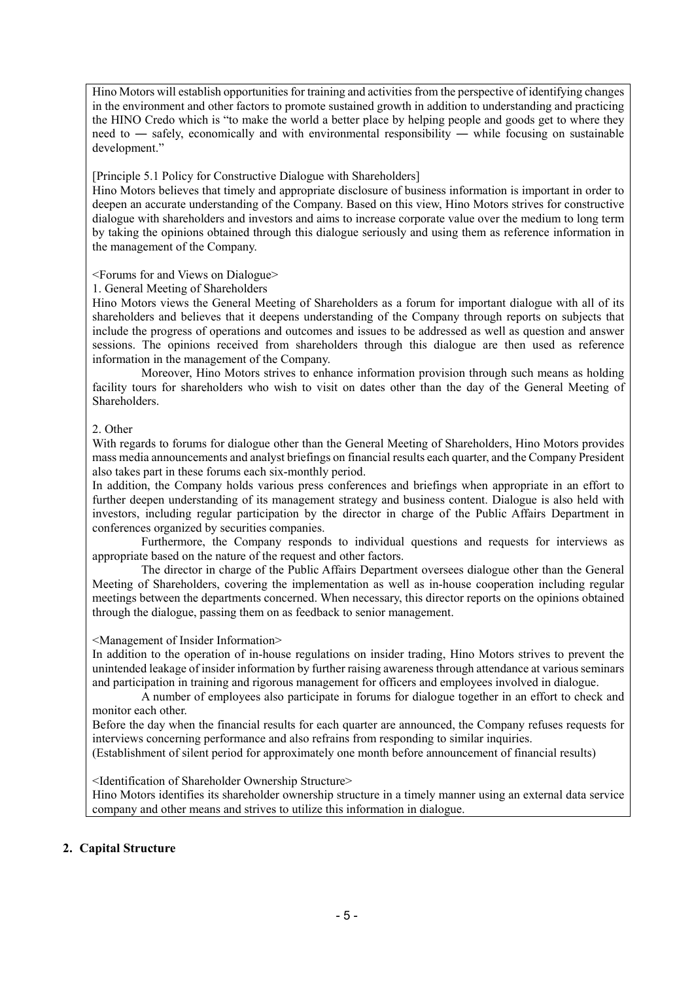Hino Motors will establish opportunities for training and activities from the perspective of identifying changes in the environment and other factors to promote sustained growth in addition to understanding and practicing the HINO Credo which is "to make the world a better place by helping people and goods get to where they need to — safely, economically and with environmental responsibility — while focusing on sustainable development."

#### [Principle 5.1 Policy for Constructive Dialogue with Shareholders]

Hino Motors believes that timely and appropriate disclosure of business information is important in order to deepen an accurate understanding of the Company. Based on this view, Hino Motors strives for constructive dialogue with shareholders and investors and aims to increase corporate value over the medium to long term by taking the opinions obtained through this dialogue seriously and using them as reference information in the management of the Company.

#### <Forums for and Views on Dialogue>

#### 1. General Meeting of Shareholders

Hino Motors views the General Meeting of Shareholders as a forum for important dialogue with all of its shareholders and believes that it deepens understanding of the Company through reports on subjects that include the progress of operations and outcomes and issues to be addressed as well as question and answer sessions. The opinions received from shareholders through this dialogue are then used as reference information in the management of the Company.

 Moreover, Hino Motors strives to enhance information provision through such means as holding facility tours for shareholders who wish to visit on dates other than the day of the General Meeting of Shareholders.

#### 2. Other

With regards to forums for dialogue other than the General Meeting of Shareholders, Hino Motors provides mass media announcements and analyst briefings on financial results each quarter, and the Company President also takes part in these forums each six-monthly period.

In addition, the Company holds various press conferences and briefings when appropriate in an effort to further deepen understanding of its management strategy and business content. Dialogue is also held with investors, including regular participation by the director in charge of the Public Affairs Department in conferences organized by securities companies.

 Furthermore, the Company responds to individual questions and requests for interviews as appropriate based on the nature of the request and other factors.

 The director in charge of the Public Affairs Department oversees dialogue other than the General Meeting of Shareholders, covering the implementation as well as in-house cooperation including regular meetings between the departments concerned. When necessary, this director reports on the opinions obtained through the dialogue, passing them on as feedback to senior management.

#### <Management of Insider Information>

In addition to the operation of in-house regulations on insider trading, Hino Motors strives to prevent the unintended leakage of insider information by further raising awareness through attendance at various seminars and participation in training and rigorous management for officers and employees involved in dialogue.

 A number of employees also participate in forums for dialogue together in an effort to check and monitor each other.

Before the day when the financial results for each quarter are announced, the Company refuses requests for interviews concerning performance and also refrains from responding to similar inquiries.

(Establishment of silent period for approximately one month before announcement of financial results)

<Identification of Shareholder Ownership Structure>

Hino Motors identifies its shareholder ownership structure in a timely manner using an external data service company and other means and strives to utilize this information in dialogue.

#### **2. Capital Structure**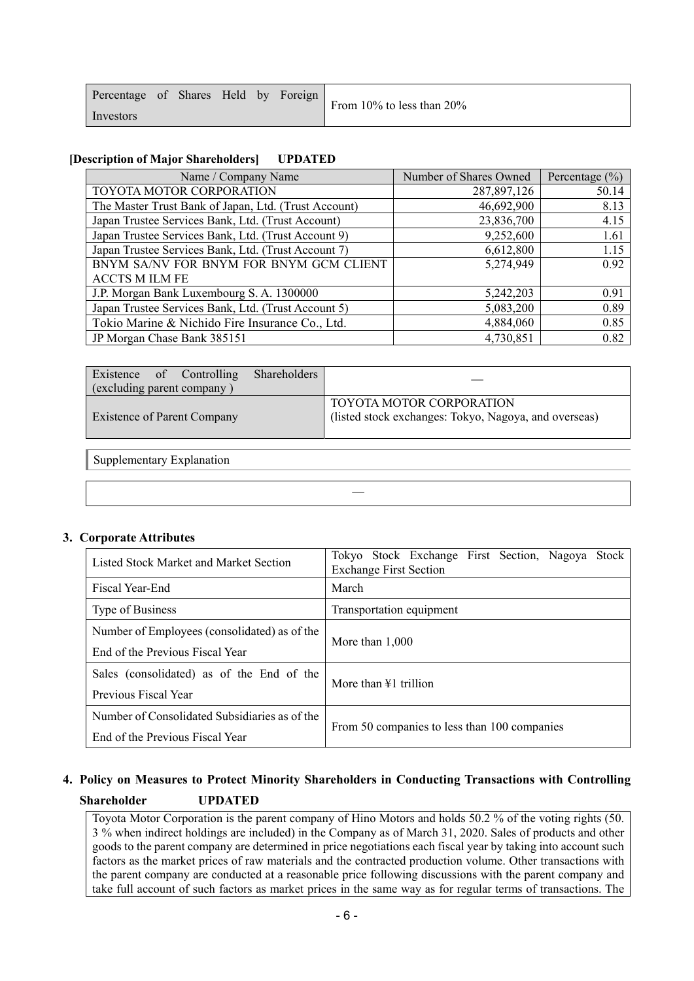| Percentage of Shares Held by Foreign |  |  | From 10% to less than 20% |
|--------------------------------------|--|--|---------------------------|
| Investors                            |  |  |                           |

#### **[Description of Major Shareholders] UPDATED**

| Name / Company Name                                  | Number of Shares Owned | Percentage $(\% )$ |
|------------------------------------------------------|------------------------|--------------------|
| TOYOTA MOTOR CORPORATION                             | 287,897,126            | 50.14              |
| The Master Trust Bank of Japan, Ltd. (Trust Account) | 46,692,900             | 8.13               |
| Japan Trustee Services Bank, Ltd. (Trust Account)    | 23,836,700             | 4.15               |
| Japan Trustee Services Bank, Ltd. (Trust Account 9)  | 9,252,600              | 1.61               |
| Japan Trustee Services Bank, Ltd. (Trust Account 7)  | 6,612,800              | 1.15               |
| BNYM SA/NV FOR BNYM FOR BNYM GCM CLIENT              | 5,274,949              | 0.92               |
| <b>ACCTS M ILM FE</b>                                |                        |                    |
| J.P. Morgan Bank Luxembourg S. A. 1300000            | 5,242,203              | 0.91               |
| Japan Trustee Services Bank, Ltd. (Trust Account 5)  | 5,083,200              | 0.89               |
| Tokio Marine & Nichido Fire Insurance Co., Ltd.      | 4,884,060              | 0.85               |
| JP Morgan Chase Bank 385151                          | 4,730,851              | 0.82               |

| Existence of Controlling<br>(excluding parent company) | Shareholders |                                                                                   |
|--------------------------------------------------------|--------------|-----------------------------------------------------------------------------------|
| <b>Existence of Parent Company</b>                     |              | TOYOTA MOTOR CORPORATION<br>(listed stock exchanges: Tokyo, Nagoya, and overseas) |

―

Supplementary Explanation

#### **3. Corporate Attributes**

| Listed Stock Market and Market Section        | Tokyo Stock Exchange First Section, Nagoya<br><b>Stock</b><br><b>Exchange First Section</b> |  |  |  |  |  |  |  |
|-----------------------------------------------|---------------------------------------------------------------------------------------------|--|--|--|--|--|--|--|
| Fiscal Year-End                               | March                                                                                       |  |  |  |  |  |  |  |
| Type of Business                              | Transportation equipment                                                                    |  |  |  |  |  |  |  |
| Number of Employees (consolidated) as of the  | More than $1,000$                                                                           |  |  |  |  |  |  |  |
| End of the Previous Fiscal Year               |                                                                                             |  |  |  |  |  |  |  |
| Sales (consolidated) as of the End of the     | More than ¥1 trillion                                                                       |  |  |  |  |  |  |  |
| Previous Fiscal Year                          |                                                                                             |  |  |  |  |  |  |  |
| Number of Consolidated Subsidiaries as of the |                                                                                             |  |  |  |  |  |  |  |
| End of the Previous Fiscal Year               | From 50 companies to less than 100 companies                                                |  |  |  |  |  |  |  |

# **4. Policy on Measures to Protect Minority Shareholders in Conducting Transactions with Controlling Shareholder UPDATED**

Toyota Motor Corporation is the parent company of Hino Motors and holds 50.2 % of the voting rights (50. 3 % when indirect holdings are included) in the Company as of March 31, 2020. Sales of products and other goods to the parent company are determined in price negotiations each fiscal year by taking into account such factors as the market prices of raw materials and the contracted production volume. Other transactions with the parent company are conducted at a reasonable price following discussions with the parent company and take full account of such factors as market prices in the same way as for regular terms of transactions. The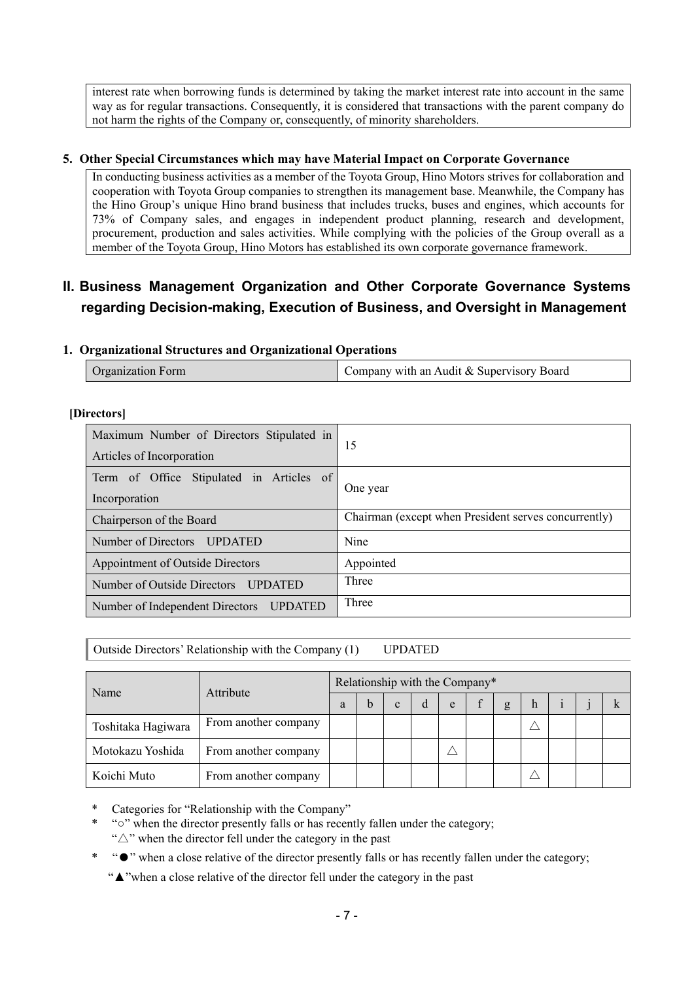interest rate when borrowing funds is determined by taking the market interest rate into account in the same way as for regular transactions. Consequently, it is considered that transactions with the parent company do not harm the rights of the Company or, consequently, of minority shareholders.

#### **5. Other Special Circumstances which may have Material Impact on Corporate Governance**

In conducting business activities as a member of the Toyota Group, Hino Motors strives for collaboration and cooperation with Toyota Group companies to strengthen its management base. Meanwhile, the Company has the Hino Group's unique Hino brand business that includes trucks, buses and engines, which accounts for 73% of Company sales, and engages in independent product planning, research and development, procurement, production and sales activities. While complying with the policies of the Group overall as a member of the Toyota Group, Hino Motors has established its own corporate governance framework.

# **II. Business Management Organization and Other Corporate Governance Systems regarding Decision-making, Execution of Business, and Oversight in Management**

#### **1. Organizational Structures and Organizational Operations**

| <b>Organization Form</b> | Company with an Audit & Supervisory Board |
|--------------------------|-------------------------------------------|
|--------------------------|-------------------------------------------|

#### **[Directors]**

| Maximum Number of Directors Stipulated in<br>Articles of Incorporation | 15                                                   |  |  |  |  |
|------------------------------------------------------------------------|------------------------------------------------------|--|--|--|--|
| Term of Office Stipulated in Articles of<br>Incorporation              | One year                                             |  |  |  |  |
| Chairperson of the Board                                               | Chairman (except when President serves concurrently) |  |  |  |  |
| Number of Directors UPDATED                                            | Nine                                                 |  |  |  |  |
| Appointment of Outside Directors                                       | Appointed                                            |  |  |  |  |
| Number of Outside Directors<br><b>UPDATED</b>                          | Three                                                |  |  |  |  |
| Number of Independent Directors UPDATED                                | Three                                                |  |  |  |  |

Outside Directors' Relationship with the Company (1) UPDATED

| Name               | Attribute            | Relationship with the Company* |  |              |   |   |  |   |   |  |  |  |
|--------------------|----------------------|--------------------------------|--|--------------|---|---|--|---|---|--|--|--|
|                    |                      | а                              |  | $\mathbf{c}$ | d | e |  | g | h |  |  |  |
| Toshitaka Hagiwara | From another company |                                |  |              |   |   |  |   |   |  |  |  |
| Motokazu Yoshida   | From another company |                                |  |              |   |   |  |   |   |  |  |  |
| Koichi Muto        | From another company |                                |  |              |   |   |  |   |   |  |  |  |

Categories for "Relationship with the Company"

\* "○" when the director presently falls or has recently fallen under the category; " $\triangle$ " when the director fell under the category in the past

\* "●" when a close relative of the director presently falls or has recently fallen under the category;

"▲"when a close relative of the director fell under the category in the past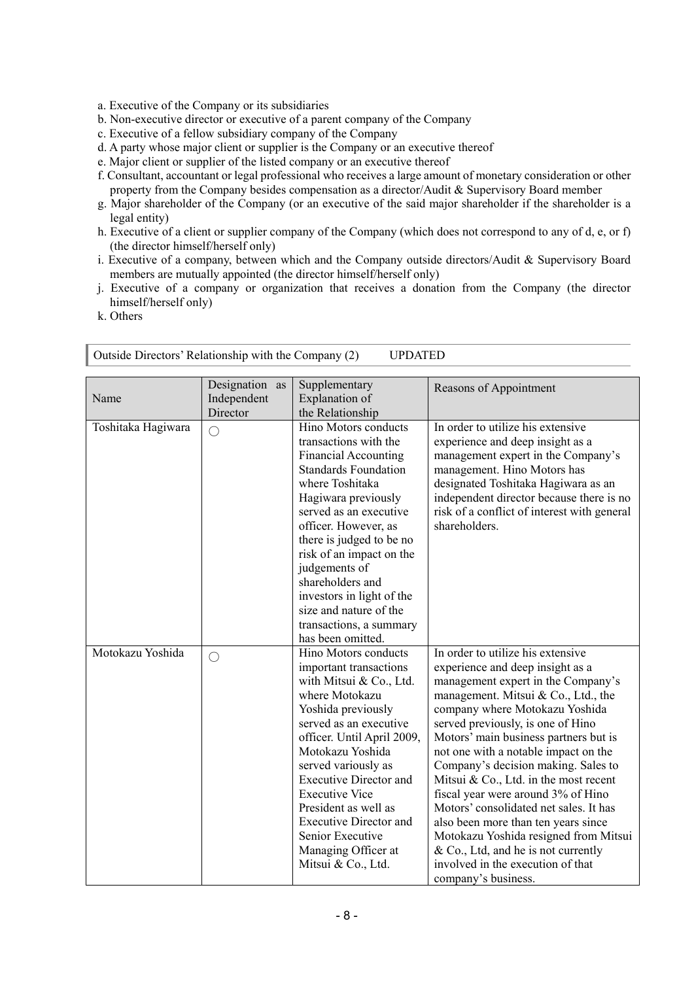- a. Executive of the Company or its subsidiaries
- b. Non-executive director or executive of a parent company of the Company
- c. Executive of a fellow subsidiary company of the Company
- d. A party whose major client or supplier is the Company or an executive thereof
- e. Major client or supplier of the listed company or an executive thereof
- f. Consultant, accountant or legal professional who receives a large amount of monetary consideration or other property from the Company besides compensation as a director/Audit & Supervisory Board member
- g. Major shareholder of the Company (or an executive of the said major shareholder if the shareholder is a legal entity)
- h. Executive of a client or supplier company of the Company (which does not correspond to any of d, e, or f) (the director himself/herself only)
- i. Executive of a company, between which and the Company outside directors/Audit & Supervisory Board members are mutually appointed (the director himself/herself only)
- j. Executive of a company or organization that receives a donation from the Company (the director himself/herself only)
- k. Others

|                    | Designation as | Supplementary                 | Reasons of Appointment                      |
|--------------------|----------------|-------------------------------|---------------------------------------------|
| Name               | Independent    | Explanation of                |                                             |
|                    | Director       | the Relationship              |                                             |
| Toshitaka Hagiwara | O              | Hino Motors conducts          | In order to utilize his extensive           |
|                    |                | transactions with the         | experience and deep insight as a            |
|                    |                | <b>Financial Accounting</b>   | management expert in the Company's          |
|                    |                | <b>Standards Foundation</b>   | management. Hino Motors has                 |
|                    |                | where Toshitaka               | designated Toshitaka Hagiwara as an         |
|                    |                | Hagiwara previously           | independent director because there is no    |
|                    |                | served as an executive        | risk of a conflict of interest with general |
|                    |                | officer. However, as          | shareholders.                               |
|                    |                | there is judged to be no      |                                             |
|                    |                | risk of an impact on the      |                                             |
|                    |                | judgements of                 |                                             |
|                    |                | shareholders and              |                                             |
|                    |                | investors in light of the     |                                             |
|                    |                | size and nature of the        |                                             |
|                    |                | transactions, a summary       |                                             |
|                    |                | has been omitted.             |                                             |
| Motokazu Yoshida   | $\bigcirc$     | Hino Motors conducts          | In order to utilize his extensive           |
|                    |                | important transactions        | experience and deep insight as a            |
|                    |                | with Mitsui & Co., Ltd.       | management expert in the Company's          |
|                    |                | where Motokazu                | management. Mitsui & Co., Ltd., the         |
|                    |                | Yoshida previously            | company where Motokazu Yoshida              |
|                    |                | served as an executive        | served previously, is one of Hino           |
|                    |                | officer. Until April 2009,    | Motors' main business partners but is       |
|                    |                | Motokazu Yoshida              | not one with a notable impact on the        |
|                    |                | served variously as           | Company's decision making. Sales to         |
|                    |                | <b>Executive Director and</b> | Mitsui & Co., Ltd. in the most recent       |
|                    |                | <b>Executive Vice</b>         | fiscal year were around 3% of Hino          |
|                    |                | President as well as          | Motors' consolidated net sales. It has      |
|                    |                | <b>Executive Director and</b> | also been more than ten years since         |
|                    |                | Senior Executive              | Motokazu Yoshida resigned from Mitsui       |
|                    |                | Managing Officer at           | $& Co., Ltd, and he is not currently$       |
|                    |                | Mitsui & Co., Ltd.            | involved in the execution of that           |
|                    |                |                               | company's business.                         |

Outside Directors' Relationship with the Company (2) UPDATED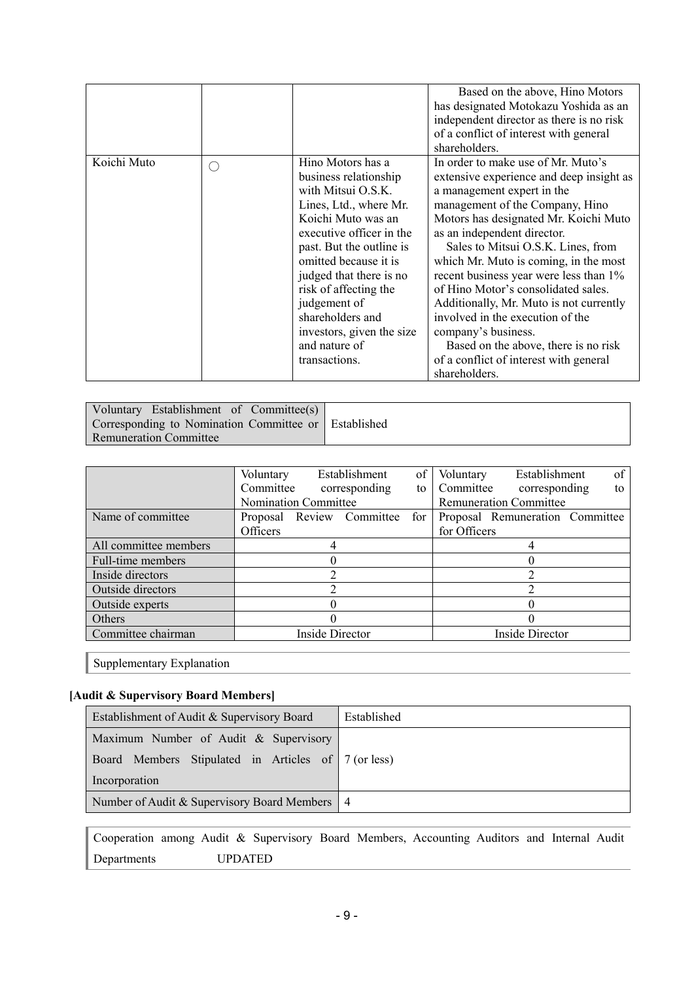|             |        |                                                                                                                                                                                                                                                                                                                                                          | Based on the above, Hino Motors<br>has designated Motokazu Yoshida as an<br>independent director as there is no risk<br>of a conflict of interest with general<br>shareholders.                                                                                                                                                                                                                                                                                                                                                                                                                  |
|-------------|--------|----------------------------------------------------------------------------------------------------------------------------------------------------------------------------------------------------------------------------------------------------------------------------------------------------------------------------------------------------------|--------------------------------------------------------------------------------------------------------------------------------------------------------------------------------------------------------------------------------------------------------------------------------------------------------------------------------------------------------------------------------------------------------------------------------------------------------------------------------------------------------------------------------------------------------------------------------------------------|
| Koichi Muto | $(\ )$ | Hino Motors has a<br>business relationship<br>with Mitsui O.S.K.<br>Lines, Ltd., where Mr.<br>Koichi Muto was an<br>executive officer in the<br>past. But the outline is<br>omitted because it is<br>judged that there is no<br>risk of affecting the<br>judgement of<br>shareholders and<br>investors, given the size<br>and nature of<br>transactions. | In order to make use of Mr. Muto's<br>extensive experience and deep insight as<br>a management expert in the<br>management of the Company, Hino<br>Motors has designated Mr. Koichi Muto<br>as an independent director.<br>Sales to Mitsui O.S.K. Lines, from<br>which Mr. Muto is coming, in the most<br>recent business year were less than 1%<br>of Hino Motor's consolidated sales.<br>Additionally, Mr. Muto is not currently<br>involved in the execution of the<br>company's business.<br>Based on the above, there is no risk<br>of a conflict of interest with general<br>shareholders. |

| Voluntary Establishment of Committee(s)              |  |
|------------------------------------------------------|--|
| Corresponding to Nomination Committee or Established |  |
| <b>Remuneration Committee</b>                        |  |

|                       | Voluntary                   |  | Establishment             | of           | Voluntary       | Establishment                   | of |  |
|-----------------------|-----------------------------|--|---------------------------|--------------|-----------------|---------------------------------|----|--|
|                       | Committee                   |  | corresponding             | to           | Committee       | corresponding                   | to |  |
|                       | <b>Nomination Committee</b> |  |                           |              |                 | <b>Remuneration Committee</b>   |    |  |
| Name of committee.    |                             |  | Proposal Review Committee | for          |                 | Proposal Remuneration Committee |    |  |
|                       | Officers                    |  |                           | for Officers |                 |                                 |    |  |
| All committee members |                             |  |                           |              |                 |                                 |    |  |
| Full-time members     |                             |  |                           |              |                 |                                 |    |  |
| Inside directors      |                             |  |                           |              |                 |                                 |    |  |
| Outside directors     |                             |  |                           |              |                 |                                 |    |  |
| Outside experts       |                             |  |                           |              |                 |                                 |    |  |
| Others                |                             |  |                           |              |                 |                                 |    |  |
| Committee chairman    | Inside Director             |  |                           |              | Inside Director |                                 |    |  |

Supplementary Explanation

# **[Audit & Supervisory Board Members]**

| Establishment of Audit & Supervisory Board          | Established |
|-----------------------------------------------------|-------------|
| Maximum Number of Audit & Supervisory               |             |
| Board Members Stipulated in Articles of 7 (or less) |             |
| Incorporation                                       |             |
| Number of Audit & Supervisory Board Members   4     |             |

Cooperation among Audit & Supervisory Board Members, Accounting Auditors and Internal Audit Departments UPDATED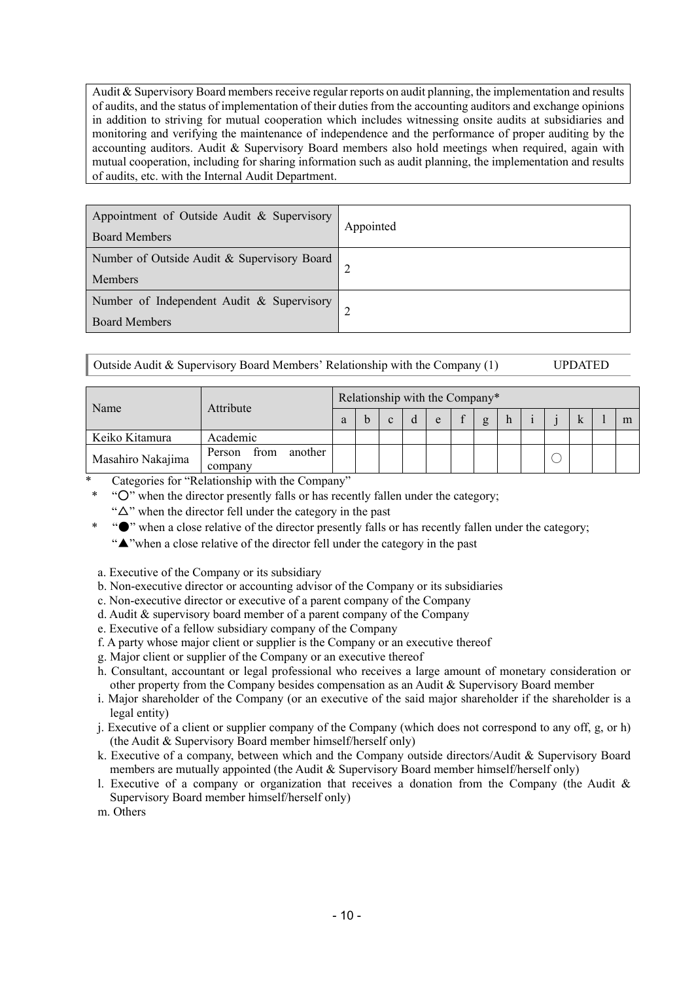Audit & Supervisory Board members receive regular reports on audit planning, the implementation and results of audits, and the status of implementation of their duties from the accounting auditors and exchange opinions in addition to striving for mutual cooperation which includes witnessing onsite audits at subsidiaries and monitoring and verifying the maintenance of independence and the performance of proper auditing by the accounting auditors. Audit & Supervisory Board members also hold meetings when required, again with mutual cooperation, including for sharing information such as audit planning, the implementation and results of audits, etc. with the Internal Audit Department.

| Appointment of Outside Audit & Supervisory<br><b>Board Members</b> | Appointed |
|--------------------------------------------------------------------|-----------|
| Number of Outside Audit & Supervisory Board<br>Members             |           |
| Number of Independent Audit & Supervisory<br><b>Board Members</b>  |           |

| Outside Audit & Supervisory Board Members' Relationship with the Company (1) |  | <b>UPDATED</b> |
|------------------------------------------------------------------------------|--|----------------|
|------------------------------------------------------------------------------|--|----------------|

|                   |                                      |   | Relationship with the Company* |   |  |   |        |   |  |  |  |  |  |   |
|-------------------|--------------------------------------|---|--------------------------------|---|--|---|--------|---|--|--|--|--|--|---|
| Name              | Attribute                            | а |                                | C |  | e | $\sim$ | g |  |  |  |  |  | m |
| Keiko Kitamura    | Academic                             |   |                                |   |  |   |        |   |  |  |  |  |  |   |
| Masahiro Nakajima | from<br>another<br>Person<br>company |   |                                |   |  |   |        |   |  |  |  |  |  |   |

Categories for "Relationship with the Company"

- \* "○" when the director presently falls or has recently fallen under the category;
	- " $\Delta$ " when the director fell under the category in the past
	- \* "●" when a close relative of the director presently falls or has recently fallen under the category;
	- "▲"when a close relative of the director fell under the category in the past
- a. Executive of the Company or its subsidiary
- b. Non-executive director or accounting advisor of the Company or its subsidiaries
- c. Non-executive director or executive of a parent company of the Company
- d. Audit & supervisory board member of a parent company of the Company
- e. Executive of a fellow subsidiary company of the Company
- f. A party whose major client or supplier is the Company or an executive thereof
- g. Major client or supplier of the Company or an executive thereof
- h. Consultant, accountant or legal professional who receives a large amount of monetary consideration or other property from the Company besides compensation as an Audit & Supervisory Board member
- i. Major shareholder of the Company (or an executive of the said major shareholder if the shareholder is a legal entity)
- j. Executive of a client or supplier company of the Company (which does not correspond to any off, g, or h) (the Audit & Supervisory Board member himself/herself only)
- k. Executive of a company, between which and the Company outside directors/Audit & Supervisory Board members are mutually appointed (the Audit & Supervisory Board member himself/herself only)
- l. Executive of a company or organization that receives a donation from the Company (the Audit & Supervisory Board member himself/herself only)

m. Others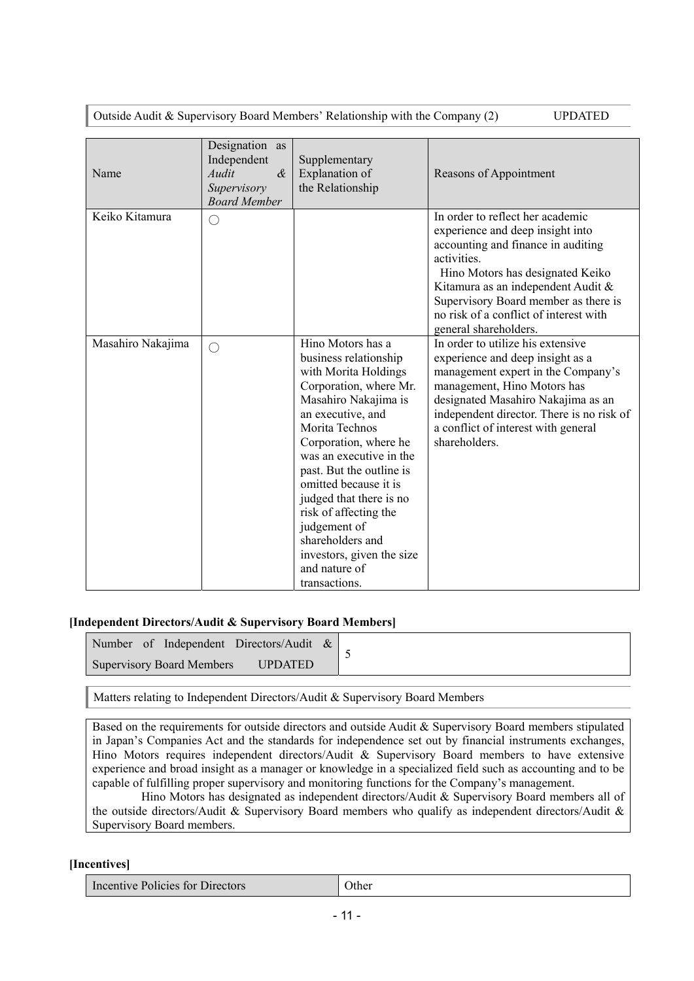Outside Audit & Supervisory Board Members' Relationship with the Company (2) UPDATED

|                   | Designation as<br>Independent |                                                                                                                                                                                                                                                                                                                                                                                                                             |                                                                                                                                                                                                                                                                                                                |
|-------------------|-------------------------------|-----------------------------------------------------------------------------------------------------------------------------------------------------------------------------------------------------------------------------------------------------------------------------------------------------------------------------------------------------------------------------------------------------------------------------|----------------------------------------------------------------------------------------------------------------------------------------------------------------------------------------------------------------------------------------------------------------------------------------------------------------|
| Name              | $\alpha$<br>Audit             | Supplementary<br>Explanation of                                                                                                                                                                                                                                                                                                                                                                                             | Reasons of Appointment                                                                                                                                                                                                                                                                                         |
|                   | Supervisory                   | the Relationship                                                                                                                                                                                                                                                                                                                                                                                                            |                                                                                                                                                                                                                                                                                                                |
|                   | <b>Board Member</b>           |                                                                                                                                                                                                                                                                                                                                                                                                                             |                                                                                                                                                                                                                                                                                                                |
| Keiko Kitamura    | ∩                             |                                                                                                                                                                                                                                                                                                                                                                                                                             | In order to reflect her academic<br>experience and deep insight into<br>accounting and finance in auditing<br>activities.<br>Hino Motors has designated Keiko<br>Kitamura as an independent Audit &<br>Supervisory Board member as there is<br>no risk of a conflict of interest with<br>general shareholders. |
| Masahiro Nakajima | ∩                             | Hino Motors has a<br>business relationship<br>with Morita Holdings<br>Corporation, where Mr.<br>Masahiro Nakajima is<br>an executive, and<br>Morita Technos<br>Corporation, where he<br>was an executive in the<br>past. But the outline is<br>omitted because it is<br>judged that there is no<br>risk of affecting the<br>judgement of<br>shareholders and<br>investors, given the size<br>and nature of<br>transactions. | In order to utilize his extensive<br>experience and deep insight as a<br>management expert in the Company's<br>management, Hino Motors has<br>designated Masahiro Nakajima as an<br>independent director. There is no risk of<br>a conflict of interest with general<br>shareholders.                          |

#### **[Independent Directors/Audit & Supervisory Board Members]**

| Number of Independent Directors/Audit $\&$         |  |
|----------------------------------------------------|--|
| <b>Supervisory Board Members</b><br><b>UPDATED</b> |  |

Matters relating to Independent Directors/Audit & Supervisory Board Members

Based on the requirements for outside directors and outside Audit & Supervisory Board members stipulated in Japan's Companies Act and the standards for independence set out by financial instruments exchanges, Hino Motors requires independent directors/Audit & Supervisory Board members to have extensive experience and broad insight as a manager or knowledge in a specialized field such as accounting and to be capable of fulfilling proper supervisory and monitoring functions for the Company's management.

 Hino Motors has designated as independent directors/Audit & Supervisory Board members all of the outside directors/Audit & Supervisory Board members who qualify as independent directors/Audit & Supervisory Board members.

**[Incentives]** 

| Incentive Policies for<br>Directors | Jther |
|-------------------------------------|-------|
|-------------------------------------|-------|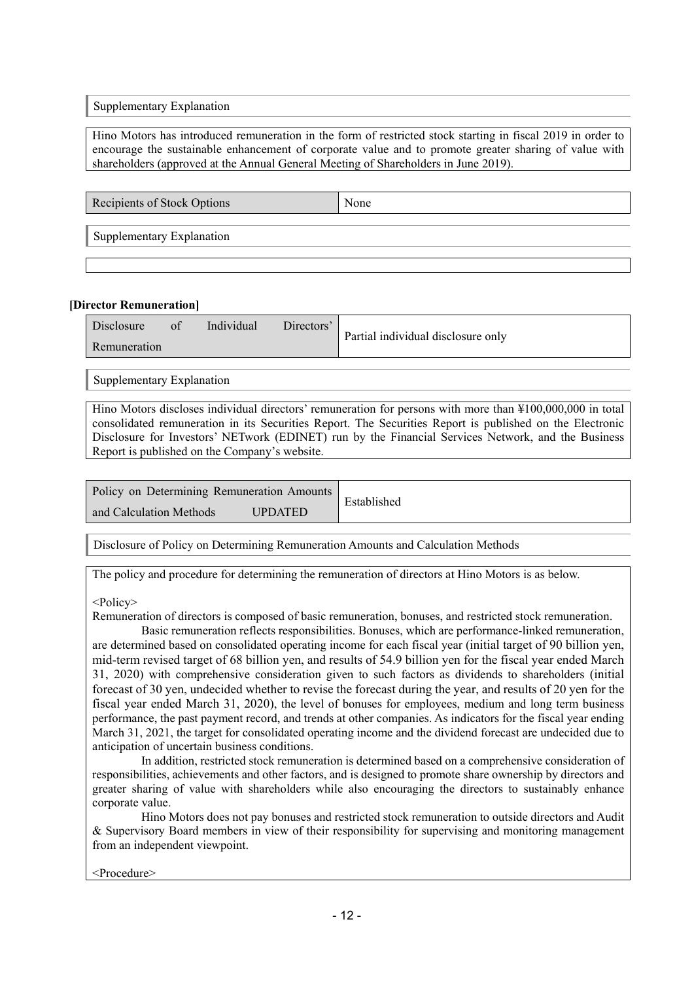Supplementary Explanation

Hino Motors has introduced remuneration in the form of restricted stock starting in fiscal 2019 in order to encourage the sustainable enhancement of corporate value and to promote greater sharing of value with shareholders (approved at the Annual General Meeting of Shareholders in June 2019).

Recipients of Stock Options None

Supplementary Explanation

#### **[Director Remuneration]**

| Disclosure   | of | Individual | Directors' | Partial individual disclosure only |
|--------------|----|------------|------------|------------------------------------|
| Remuneration |    |            |            |                                    |

Supplementary Explanation

Hino Motors discloses individual directors' remuneration for persons with more than ¥100,000,000 in total consolidated remuneration in its Securities Report. The Securities Report is published on the Electronic Disclosure for Investors' NETwork (EDINET) run by the Financial Services Network, and the Business Report is published on the Company's website.

| Policy on Determining Remuneration Amounts |                | Established |
|--------------------------------------------|----------------|-------------|
| and Calculation Methods                    | <b>JPDATED</b> |             |

Disclosure of Policy on Determining Remuneration Amounts and Calculation Methods

The policy and procedure for determining the remuneration of directors at Hino Motors is as below.

#### <Policy>

Remuneration of directors is composed of basic remuneration, bonuses, and restricted stock remuneration.

 Basic remuneration reflects responsibilities. Bonuses, which are performance-linked remuneration, are determined based on consolidated operating income for each fiscal year (initial target of 90 billion yen, mid-term revised target of 68 billion yen, and results of 54.9 billion yen for the fiscal year ended March 31, 2020) with comprehensive consideration given to such factors as dividends to shareholders (initial forecast of 30 yen, undecided whether to revise the forecast during the year, and results of 20 yen for the fiscal year ended March 31, 2020), the level of bonuses for employees, medium and long term business performance, the past payment record, and trends at other companies. As indicators for the fiscal year ending March 31, 2021, the target for consolidated operating income and the dividend forecast are undecided due to anticipation of uncertain business conditions.

 In addition, restricted stock remuneration is determined based on a comprehensive consideration of responsibilities, achievements and other factors, and is designed to promote share ownership by directors and greater sharing of value with shareholders while also encouraging the directors to sustainably enhance corporate value.

 Hino Motors does not pay bonuses and restricted stock remuneration to outside directors and Audit & Supervisory Board members in view of their responsibility for supervising and monitoring management from an independent viewpoint.

<Procedure>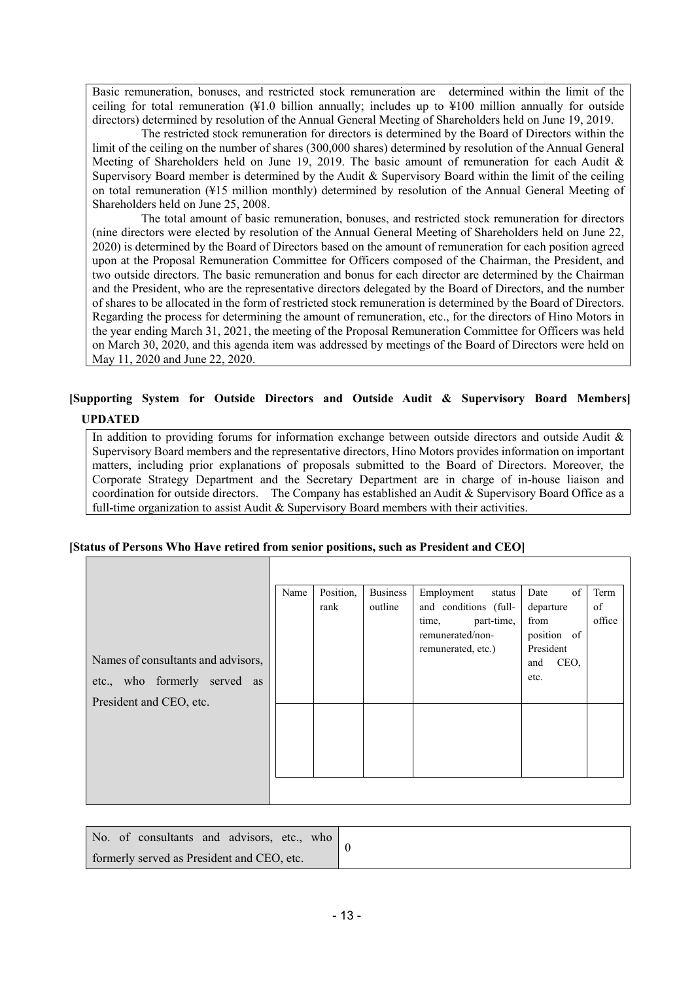Basic remuneration, bonuses, and restricted stock remuneration are determined within the limit of the ceiling for total remuneration  $(\frac{1}{2}1.0 \frac{1}{2} \text{ billion}$  annually; includes up to  $\frac{1}{2}100$  million annually for outside directors) determined by resolution of the Annual General Meeting of Shareholders held on June 19, 2019.

 The restricted stock remuneration for directors is determined by the Board of Directors within the limit of the ceiling on the number of shares (300,000 shares) determined by resolution of the Annual General Meeting of Shareholders held on June 19, 2019. The basic amount of remuneration for each Audit  $\&$ Supervisory Board member is determined by the Audit & Supervisory Board within the limit of the ceiling on total remuneration (¥15 million monthly) determined by resolution of the Annual General Meeting of Shareholders held on June 25, 2008.

 The total amount of basic remuneration, bonuses, and restricted stock remuneration for directors (nine directors were elected by resolution of the Annual General Meeting of Shareholders held on June 22, 2020) is determined by the Board of Directors based on the amount of remuneration for each position agreed upon at the Proposal Remuneration Committee for Officers composed of the Chairman, the President, and two outside directors. The basic remuneration and bonus for each director are determined by the Chairman and the President, who are the representative directors delegated by the Board of Directors, and the number of shares to be allocated in the form of restricted stock remuneration is determined by the Board of Directors. Regarding the process for determining the amount of remuneration, etc., for the directors of Hino Motors in the year ending March 31, 2021, the meeting of the Proposal Remuneration Committee for Officers was held on March 30, 2020, and this agenda item was addressed by meetings of the Board of Directors were held on May 11, 2020 and June 22, 2020.

# **[Supporting System for Outside Directors and Outside Audit & Supervisory Board Members]**

#### **UPDATED**

In addition to providing forums for information exchange between outside directors and outside Audit & Supervisory Board members and the representative directors, Hino Motors provides information on important matters, including prior explanations of proposals submitted to the Board of Directors. Moreover, the Corporate Strategy Department and the Secretary Department are in charge of in-house liaison and coordination for outside directors. The Company has established an Audit & Supervisory Board Office as a full-time organization to assist Audit  $\&$  Supervisory Board members with their activities.

|                                    | Name | Position, | <b>Business</b> | Employment<br>status                    | of<br>Date               | Term   |
|------------------------------------|------|-----------|-----------------|-----------------------------------------|--------------------------|--------|
|                                    |      | rank      | outline         | and conditions (full-                   | departure                | of     |
|                                    |      |           |                 | part-time,<br>time,<br>remunerated/non- | from                     | office |
|                                    |      |           |                 | remunerated, etc.)                      | position of<br>President |        |
| Names of consultants and advisors, |      |           |                 |                                         | CEO,<br>and              |        |
| etc., who formerly served as       |      |           |                 |                                         | etc.                     |        |
| President and CEO, etc.            |      |           |                 |                                         |                          |        |
|                                    |      |           |                 |                                         |                          |        |
|                                    |      |           |                 |                                         |                          |        |
|                                    |      |           |                 |                                         |                          |        |
|                                    |      |           |                 |                                         |                          |        |
|                                    |      |           |                 |                                         |                          |        |
|                                    |      |           |                 |                                         |                          |        |

|  | No. of consultants and advisors, etc., who |  |  |
|--|--------------------------------------------|--|--|
|  | formerly served as President and CEO, etc. |  |  |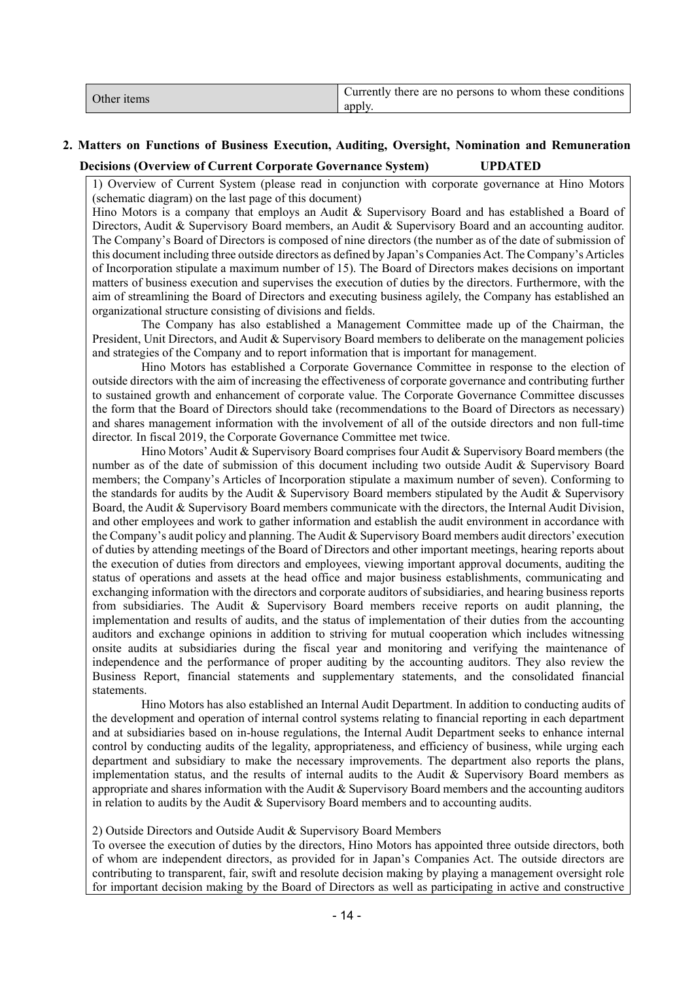| Currently there are no persons to whom these conditions<br>Other items<br>apply |
|---------------------------------------------------------------------------------|
|---------------------------------------------------------------------------------|

# **2. Matters on Functions of Business Execution, Auditing, Oversight, Nomination and Remuneration Decisions (Overview of Current Corporate Governance System) UPDATED**

1) Overview of Current System (please read in conjunction with corporate governance at Hino Motors (schematic diagram) on the last page of this document)

Hino Motors is a company that employs an Audit & Supervisory Board and has established a Board of Directors, Audit & Supervisory Board members, an Audit & Supervisory Board and an accounting auditor. The Company's Board of Directors is composed of nine directors (the number as of the date of submission of this document including three outside directors as defined by Japan's Companies Act. The Company's Articles of Incorporation stipulate a maximum number of 15). The Board of Directors makes decisions on important matters of business execution and supervises the execution of duties by the directors. Furthermore, with the aim of streamlining the Board of Directors and executing business agilely, the Company has established an organizational structure consisting of divisions and fields.

 The Company has also established a Management Committee made up of the Chairman, the President, Unit Directors, and Audit & Supervisory Board members to deliberate on the management policies and strategies of the Company and to report information that is important for management.

 Hino Motors has established a Corporate Governance Committee in response to the election of outside directors with the aim of increasing the effectiveness of corporate governance and contributing further to sustained growth and enhancement of corporate value. The Corporate Governance Committee discusses the form that the Board of Directors should take (recommendations to the Board of Directors as necessary) and shares management information with the involvement of all of the outside directors and non full-time director. In fiscal 2019, the Corporate Governance Committee met twice.

Hino Motors' Audit & Supervisory Board comprises four Audit & Supervisory Board members (the number as of the date of submission of this document including two outside Audit & Supervisory Board members; the Company's Articles of Incorporation stipulate a maximum number of seven). Conforming to the standards for audits by the Audit  $\&$  Supervisory Board members stipulated by the Audit  $\&$  Supervisory Board, the Audit & Supervisory Board members communicate with the directors, the Internal Audit Division, and other employees and work to gather information and establish the audit environment in accordance with the Company's audit policy and planning. The Audit & Supervisory Board members audit directors' execution of duties by attending meetings of the Board of Directors and other important meetings, hearing reports about the execution of duties from directors and employees, viewing important approval documents, auditing the status of operations and assets at the head office and major business establishments, communicating and exchanging information with the directors and corporate auditors of subsidiaries, and hearing business reports from subsidiaries. The Audit & Supervisory Board members receive reports on audit planning, the implementation and results of audits, and the status of implementation of their duties from the accounting auditors and exchange opinions in addition to striving for mutual cooperation which includes witnessing onsite audits at subsidiaries during the fiscal year and monitoring and verifying the maintenance of independence and the performance of proper auditing by the accounting auditors. They also review the Business Report, financial statements and supplementary statements, and the consolidated financial statements.

 Hino Motors has also established an Internal Audit Department. In addition to conducting audits of the development and operation of internal control systems relating to financial reporting in each department and at subsidiaries based on in-house regulations, the Internal Audit Department seeks to enhance internal control by conducting audits of the legality, appropriateness, and efficiency of business, while urging each department and subsidiary to make the necessary improvements. The department also reports the plans, implementation status, and the results of internal audits to the Audit  $\&$  Supervisory Board members as appropriate and shares information with the Audit & Supervisory Board members and the accounting auditors in relation to audits by the Audit  $&$  Supervisory Board members and to accounting audits.

#### 2) Outside Directors and Outside Audit & Supervisory Board Members

To oversee the execution of duties by the directors, Hino Motors has appointed three outside directors, both of whom are independent directors, as provided for in Japan's Companies Act. The outside directors are contributing to transparent, fair, swift and resolute decision making by playing a management oversight role for important decision making by the Board of Directors as well as participating in active and constructive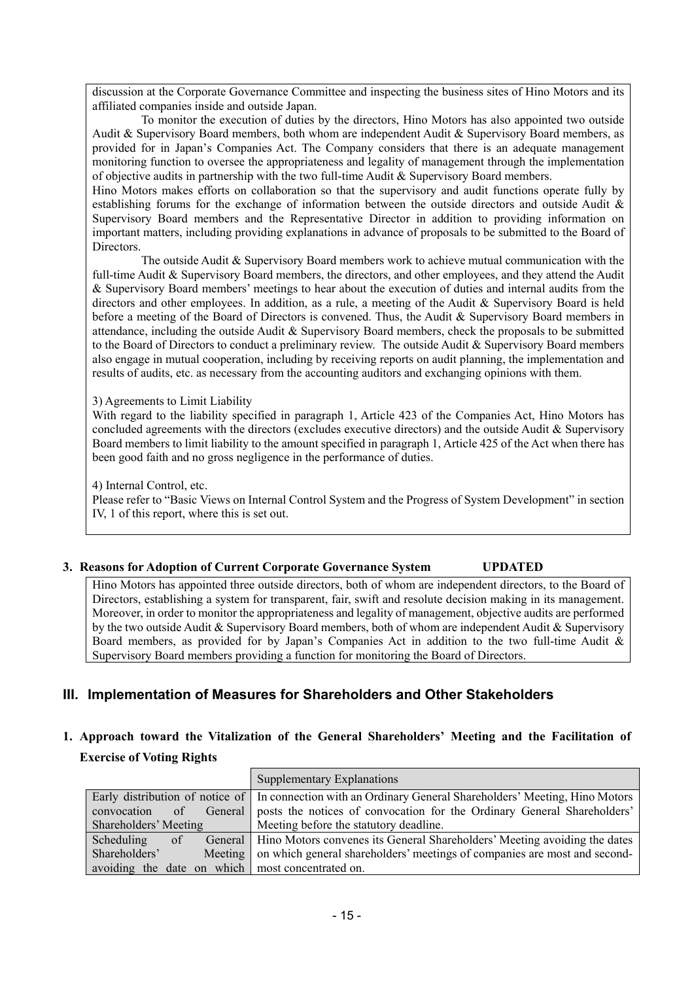discussion at the Corporate Governance Committee and inspecting the business sites of Hino Motors and its affiliated companies inside and outside Japan.

 To monitor the execution of duties by the directors, Hino Motors has also appointed two outside Audit & Supervisory Board members, both whom are independent Audit & Supervisory Board members, as provided for in Japan's Companies Act. The Company considers that there is an adequate management monitoring function to oversee the appropriateness and legality of management through the implementation of objective audits in partnership with the two full-time Audit & Supervisory Board members.

Hino Motors makes efforts on collaboration so that the supervisory and audit functions operate fully by establishing forums for the exchange of information between the outside directors and outside Audit & Supervisory Board members and the Representative Director in addition to providing information on important matters, including providing explanations in advance of proposals to be submitted to the Board of Directors.

 The outside Audit & Supervisory Board members work to achieve mutual communication with the full-time Audit & Supervisory Board members, the directors, and other employees, and they attend the Audit & Supervisory Board members' meetings to hear about the execution of duties and internal audits from the directors and other employees. In addition, as a rule, a meeting of the Audit & Supervisory Board is held before a meeting of the Board of Directors is convened. Thus, the Audit & Supervisory Board members in attendance, including the outside Audit & Supervisory Board members, check the proposals to be submitted to the Board of Directors to conduct a preliminary review. The outside Audit & Supervisory Board members also engage in mutual cooperation, including by receiving reports on audit planning, the implementation and results of audits, etc. as necessary from the accounting auditors and exchanging opinions with them.

#### 3) Agreements to Limit Liability

With regard to the liability specified in paragraph 1, Article 423 of the Companies Act, Hino Motors has concluded agreements with the directors (excludes executive directors) and the outside Audit & Supervisory Board members to limit liability to the amount specified in paragraph 1, Article 425 of the Act when there has been good faith and no gross negligence in the performance of duties.

4) Internal Control, etc.

Please refer to "Basic Views on Internal Control System and the Progress of System Development" in section IV, 1 of this report, where this is set out.

#### **3. Reasons for Adoption of Current Corporate Governance System UPDATED**

Hino Motors has appointed three outside directors, both of whom are independent directors, to the Board of Directors, establishing a system for transparent, fair, swift and resolute decision making in its management. Moreover, in order to monitor the appropriateness and legality of management, objective audits are performed by the two outside Audit & Supervisory Board members, both of whom are independent Audit & Supervisory Board members, as provided for by Japan's Companies Act in addition to the two full-time Audit & Supervisory Board members providing a function for monitoring the Board of Directors.

## **III. Implementation of Measures for Shareholders and Other Stakeholders**

# **1. Approach toward the Vitalization of the General Shareholders' Meeting and the Facilitation of Exercise of Voting Rights**

|                                                  |         | Supplementary Explanations                                                                                  |
|--------------------------------------------------|---------|-------------------------------------------------------------------------------------------------------------|
|                                                  |         | Early distribution of notice of   In connection with an Ordinary General Shareholders' Meeting, Hino Motors |
| $\alpha$ f<br>convocation                        |         | General posts the notices of convocation for the Ordinary General Shareholders'                             |
| Shareholders' Meeting                            |         | Meeting before the statutory deadline.                                                                      |
| Scheduling<br>of                                 |         | General   Hino Motors convenes its General Shareholders' Meeting avoiding the dates                         |
| Shareholders'                                    | Meeting | on which general shareholders' meetings of companies are most and second-                                   |
| avoiding the date on which most concentrated on. |         |                                                                                                             |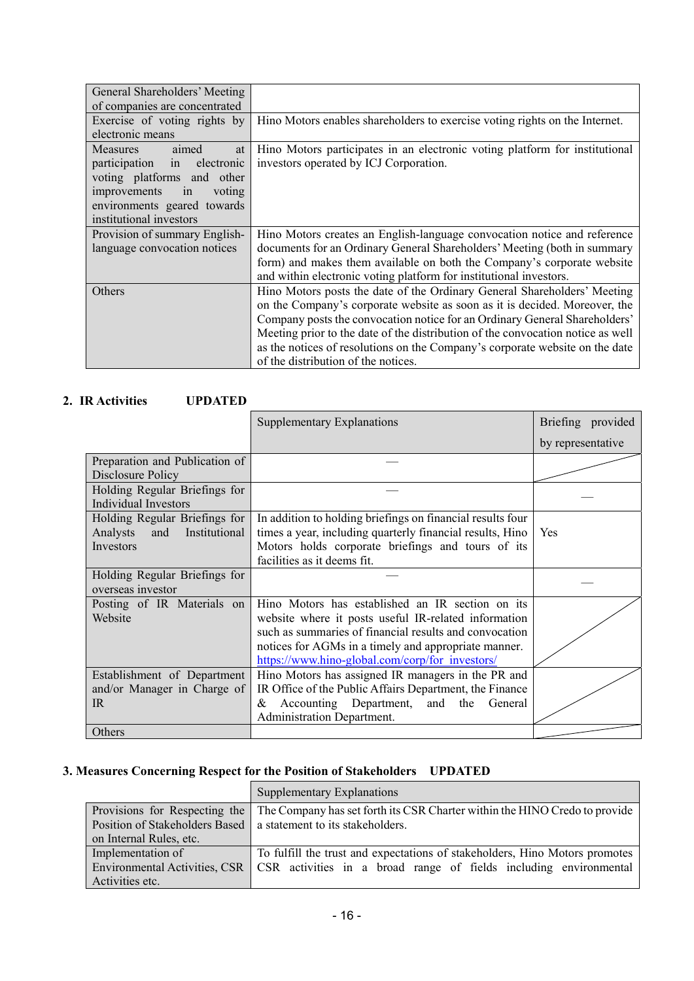| General Shareholders' Meeting |                                                                                 |
|-------------------------------|---------------------------------------------------------------------------------|
| of companies are concentrated |                                                                                 |
| Exercise of voting rights by  | Hino Motors enables shareholders to exercise voting rights on the Internet.     |
| electronic means              |                                                                                 |
| Measures<br>aimed<br>at       | Hino Motors participates in an electronic voting platform for institutional     |
| participation in electronic   | investors operated by ICJ Corporation.                                          |
| voting platforms and other    |                                                                                 |
| improvements<br>in<br>voting  |                                                                                 |
| environments geared towards   |                                                                                 |
| institutional investors       |                                                                                 |
| Provision of summary English- | Hino Motors creates an English-language convocation notice and reference        |
| language convocation notices  | documents for an Ordinary General Shareholders' Meeting (both in summary        |
|                               | form) and makes them available on both the Company's corporate website          |
|                               | and within electronic voting platform for institutional investors.              |
| Others                        | Hino Motors posts the date of the Ordinary General Shareholders' Meeting        |
|                               | on the Company's corporate website as soon as it is decided. Moreover, the      |
|                               | Company posts the convocation notice for an Ordinary General Shareholders'      |
|                               | Meeting prior to the date of the distribution of the convocation notice as well |
|                               | as the notices of resolutions on the Company's corporate website on the date    |
|                               | of the distribution of the notices.                                             |

#### **2. IR Activities UPDATED**

|                                                                                | <b>Supplementary Explanations</b>                                                                                                                                                                                                                                             | Briefing provided |
|--------------------------------------------------------------------------------|-------------------------------------------------------------------------------------------------------------------------------------------------------------------------------------------------------------------------------------------------------------------------------|-------------------|
|                                                                                |                                                                                                                                                                                                                                                                               | by representative |
| Preparation and Publication of<br>Disclosure Policy                            |                                                                                                                                                                                                                                                                               |                   |
| Holding Regular Briefings for<br><b>Individual Investors</b>                   |                                                                                                                                                                                                                                                                               |                   |
| Holding Regular Briefings for<br>Institutional<br>Analysts<br>and<br>Investors | In addition to holding briefings on financial results four<br>times a year, including quarterly financial results, Hino<br>Motors holds corporate briefings and tours of its<br>facilities as it deems fit.                                                                   | Yes               |
| Holding Regular Briefings for<br>overseas investor                             |                                                                                                                                                                                                                                                                               |                   |
| Posting of IR Materials on<br>Website                                          | Hino Motors has established an IR section on its<br>website where it posts useful IR-related information<br>such as summaries of financial results and convocation<br>notices for AGMs in a timely and appropriate manner.<br>https://www.hino-global.com/corp/for investors/ |                   |
| Establishment of Department<br>and/or Manager in Charge of<br>IR               | Hino Motors has assigned IR managers in the PR and<br>IR Office of the Public Affairs Department, the Finance<br>Accounting Department, and<br>the<br>General<br>&<br>Administration Department.                                                                              |                   |
| Others                                                                         |                                                                                                                                                                                                                                                                               |                   |

# **3. Measures Concerning Respect for the Position of Stakeholders UPDATED**

|                                | Supplementary Explanations                                                  |
|--------------------------------|-----------------------------------------------------------------------------|
| Provisions for Respecting the  | The Company has set forth its CSR Charter within the HINO Credo to provide  |
| Position of Stakeholders Based | a statement to its stakeholders.                                            |
| on Internal Rules, etc.        |                                                                             |
| Implementation of              | To fulfill the trust and expectations of stakeholders, Hino Motors promotes |
| Environmental Activities, CSR  | CSR activities in a broad range of fields including environmental           |
| Activities etc.                |                                                                             |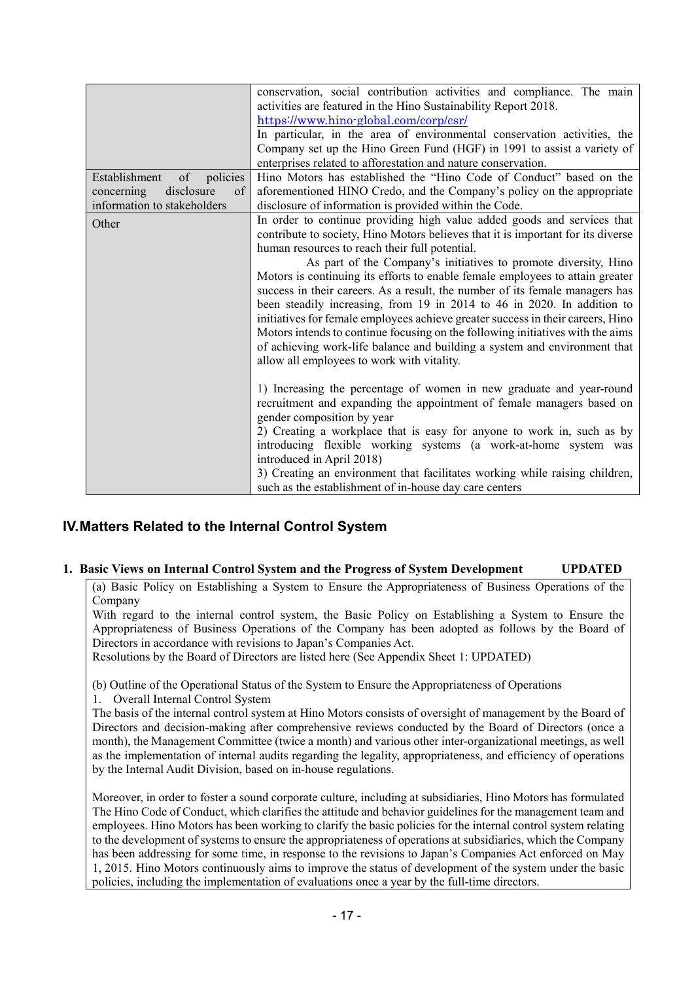|                                | conservation, social contribution activities and compliance. The main            |  |  |  |
|--------------------------------|----------------------------------------------------------------------------------|--|--|--|
|                                | activities are featured in the Hino Sustainability Report 2018.                  |  |  |  |
|                                | https://www.hino-global.com/corp/csr/                                            |  |  |  |
|                                | In particular, in the area of environmental conservation activities, the         |  |  |  |
|                                | Company set up the Hino Green Fund (HGF) in 1991 to assist a variety of          |  |  |  |
|                                | enterprises related to afforestation and nature conservation.                    |  |  |  |
| of policies<br>Establishment   | Hino Motors has established the "Hino Code of Conduct" based on the              |  |  |  |
| disclosure<br>concerning<br>of | aforementioned HINO Credo, and the Company's policy on the appropriate           |  |  |  |
| information to stakeholders    | disclosure of information is provided within the Code.                           |  |  |  |
| Other                          | In order to continue providing high value added goods and services that          |  |  |  |
|                                | contribute to society, Hino Motors believes that it is important for its diverse |  |  |  |
|                                | human resources to reach their full potential.                                   |  |  |  |
|                                | As part of the Company's initiatives to promote diversity, Hino                  |  |  |  |
|                                | Motors is continuing its efforts to enable female employees to attain greater    |  |  |  |
|                                | success in their careers. As a result, the number of its female managers has     |  |  |  |
|                                | been steadily increasing, from 19 in 2014 to 46 in 2020. In addition to          |  |  |  |
|                                | initiatives for female employees achieve greater success in their careers, Hino  |  |  |  |
|                                | Motors intends to continue focusing on the following initiatives with the aims   |  |  |  |
|                                | of achieving work-life balance and building a system and environment that        |  |  |  |
|                                | allow all employees to work with vitality.                                       |  |  |  |
|                                |                                                                                  |  |  |  |
|                                | 1) Increasing the percentage of women in new graduate and year-round             |  |  |  |
|                                | recruitment and expanding the appointment of female managers based on            |  |  |  |
|                                | gender composition by year                                                       |  |  |  |
|                                | 2) Creating a workplace that is easy for anyone to work in, such as by           |  |  |  |
|                                | introducing flexible working systems (a work-at-home system was                  |  |  |  |
|                                | introduced in April 2018)                                                        |  |  |  |
|                                | 3) Creating an environment that facilitates working while raising children,      |  |  |  |
|                                | such as the establishment of in-house day care centers                           |  |  |  |

# **IV. Matters Related to the Internal Control System**

#### **1. Basic Views on Internal Control System and the Progress of System Development UPDATED**

(a) Basic Policy on Establishing a System to Ensure the Appropriateness of Business Operations of the Company

With regard to the internal control system, the Basic Policy on Establishing a System to Ensure the Appropriateness of Business Operations of the Company has been adopted as follows by the Board of Directors in accordance with revisions to Japan's Companies Act.

Resolutions by the Board of Directors are listed here (See Appendix Sheet 1: UPDATED)

(b) Outline of the Operational Status of the System to Ensure the Appropriateness of Operations

1. Overall Internal Control System

The basis of the internal control system at Hino Motors consists of oversight of management by the Board of Directors and decision-making after comprehensive reviews conducted by the Board of Directors (once a month), the Management Committee (twice a month) and various other inter-organizational meetings, as well as the implementation of internal audits regarding the legality, appropriateness, and efficiency of operations by the Internal Audit Division, based on in-house regulations.

Moreover, in order to foster a sound corporate culture, including at subsidiaries, Hino Motors has formulated The Hino Code of Conduct, which clarifies the attitude and behavior guidelines for the management team and employees. Hino Motors has been working to clarify the basic policies for the internal control system relating to the development of systems to ensure the appropriateness of operations at subsidiaries, which the Company has been addressing for some time, in response to the revisions to Japan's Companies Act enforced on May 1, 2015. Hino Motors continuously aims to improve the status of development of the system under the basic policies, including the implementation of evaluations once a year by the full-time directors.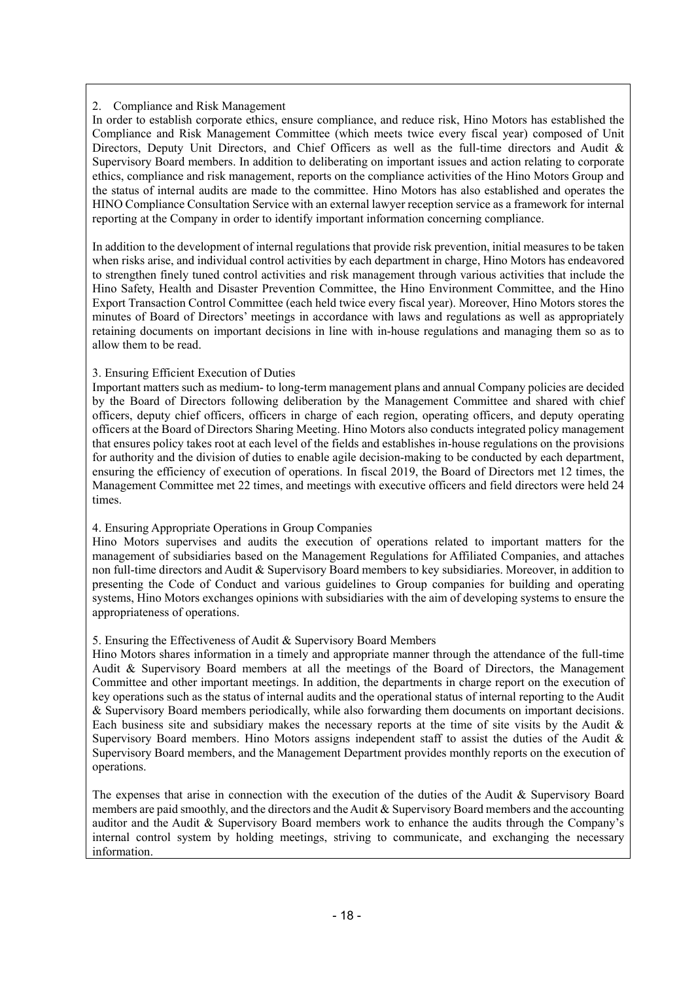#### 2. Compliance and Risk Management

In order to establish corporate ethics, ensure compliance, and reduce risk, Hino Motors has established the Compliance and Risk Management Committee (which meets twice every fiscal year) composed of Unit Directors, Deputy Unit Directors, and Chief Officers as well as the full-time directors and Audit & Supervisory Board members. In addition to deliberating on important issues and action relating to corporate ethics, compliance and risk management, reports on the compliance activities of the Hino Motors Group and the status of internal audits are made to the committee. Hino Motors has also established and operates the HINO Compliance Consultation Service with an external lawyer reception service as a framework for internal reporting at the Company in order to identify important information concerning compliance.

In addition to the development of internal regulations that provide risk prevention, initial measures to be taken when risks arise, and individual control activities by each department in charge, Hino Motors has endeavored to strengthen finely tuned control activities and risk management through various activities that include the Hino Safety, Health and Disaster Prevention Committee, the Hino Environment Committee, and the Hino Export Transaction Control Committee (each held twice every fiscal year). Moreover, Hino Motors stores the minutes of Board of Directors' meetings in accordance with laws and regulations as well as appropriately retaining documents on important decisions in line with in-house regulations and managing them so as to allow them to be read.

#### 3. Ensuring Efficient Execution of Duties

Important matters such as medium- to long-term management plans and annual Company policies are decided by the Board of Directors following deliberation by the Management Committee and shared with chief officers, deputy chief officers, officers in charge of each region, operating officers, and deputy operating officers at the Board of Directors Sharing Meeting. Hino Motors also conducts integrated policy management that ensures policy takes root at each level of the fields and establishes in-house regulations on the provisions for authority and the division of duties to enable agile decision-making to be conducted by each department, ensuring the efficiency of execution of operations. In fiscal 2019, the Board of Directors met 12 times, the Management Committee met 22 times, and meetings with executive officers and field directors were held 24 times.

#### 4. Ensuring Appropriate Operations in Group Companies

Hino Motors supervises and audits the execution of operations related to important matters for the management of subsidiaries based on the Management Regulations for Affiliated Companies, and attaches non full-time directors and Audit & Supervisory Board members to key subsidiaries. Moreover, in addition to presenting the Code of Conduct and various guidelines to Group companies for building and operating systems, Hino Motors exchanges opinions with subsidiaries with the aim of developing systems to ensure the appropriateness of operations.

#### 5. Ensuring the Effectiveness of Audit & Supervisory Board Members

Hino Motors shares information in a timely and appropriate manner through the attendance of the full-time Audit & Supervisory Board members at all the meetings of the Board of Directors, the Management Committee and other important meetings. In addition, the departments in charge report on the execution of key operations such as the status of internal audits and the operational status of internal reporting to the Audit & Supervisory Board members periodically, while also forwarding them documents on important decisions. Each business site and subsidiary makes the necessary reports at the time of site visits by the Audit  $\&$ Supervisory Board members. Hino Motors assigns independent staff to assist the duties of the Audit & Supervisory Board members, and the Management Department provides monthly reports on the execution of operations.

The expenses that arise in connection with the execution of the duties of the Audit & Supervisory Board members are paid smoothly, and the directors and the Audit & Supervisory Board members and the accounting auditor and the Audit & Supervisory Board members work to enhance the audits through the Company's internal control system by holding meetings, striving to communicate, and exchanging the necessary information.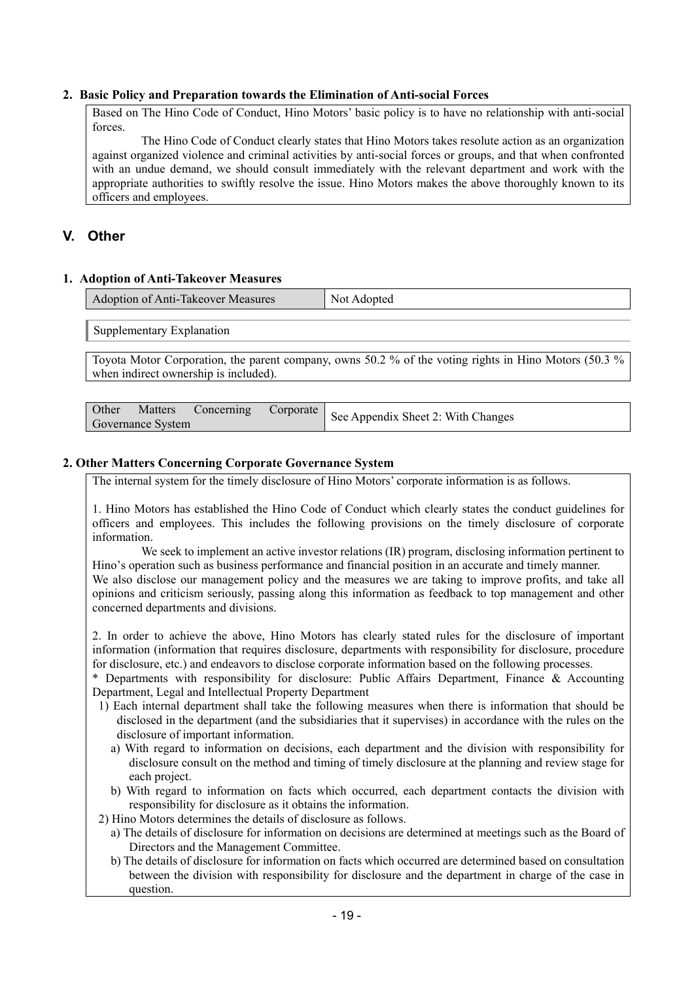#### **2. Basic Policy and Preparation towards the Elimination of Anti-social Forces**

Based on The Hino Code of Conduct, Hino Motors' basic policy is to have no relationship with anti-social forces.

 The Hino Code of Conduct clearly states that Hino Motors takes resolute action as an organization against organized violence and criminal activities by anti-social forces or groups, and that when confronted with an undue demand, we should consult immediately with the relevant department and work with the appropriate authorities to swiftly resolve the issue. Hino Motors makes the above thoroughly known to its officers and employees.

## **V. Other**

#### **1. Adoption of Anti-Takeover Measures**

| <b>Adoption of Anti-Takeover Measures</b> | Not.<br>Adopted |
|-------------------------------------------|-----------------|
|                                           |                 |

Supplementary Explanation

Toyota Motor Corporation, the parent company, owns 50.2 % of the voting rights in Hino Motors (50.3 % when indirect ownership is included).

|                   |  | Matters Concerning Corporate See Appendix Sheet 2: With Changes |
|-------------------|--|-----------------------------------------------------------------|
| Governance System |  |                                                                 |

#### **2. Other Matters Concerning Corporate Governance System**

The internal system for the timely disclosure of Hino Motors' corporate information is as follows.

1. Hino Motors has established the Hino Code of Conduct which clearly states the conduct guidelines for officers and employees. This includes the following provisions on the timely disclosure of corporate information.

We seek to implement an active investor relations (IR) program, disclosing information pertinent to Hino's operation such as business performance and financial position in an accurate and timely manner. We also disclose our management policy and the measures we are taking to improve profits, and take all opinions and criticism seriously, passing along this information as feedback to top management and other concerned departments and divisions.

2. In order to achieve the above, Hino Motors has clearly stated rules for the disclosure of important information (information that requires disclosure, departments with responsibility for disclosure, procedure for disclosure, etc.) and endeavors to disclose corporate information based on the following processes.

\* Departments with responsibility for disclosure: Public Affairs Department, Finance & Accounting Department, Legal and Intellectual Property Department

- 1) Each internal department shall take the following measures when there is information that should be disclosed in the department (and the subsidiaries that it supervises) in accordance with the rules on the disclosure of important information.
	- a) With regard to information on decisions, each department and the division with responsibility for disclosure consult on the method and timing of timely disclosure at the planning and review stage for each project.
	- b) With regard to information on facts which occurred, each department contacts the division with responsibility for disclosure as it obtains the information.
- 2) Hino Motors determines the details of disclosure as follows.
	- a) The details of disclosure for information on decisions are determined at meetings such as the Board of Directors and the Management Committee.
	- b) The details of disclosure for information on facts which occurred are determined based on consultation between the division with responsibility for disclosure and the department in charge of the case in question.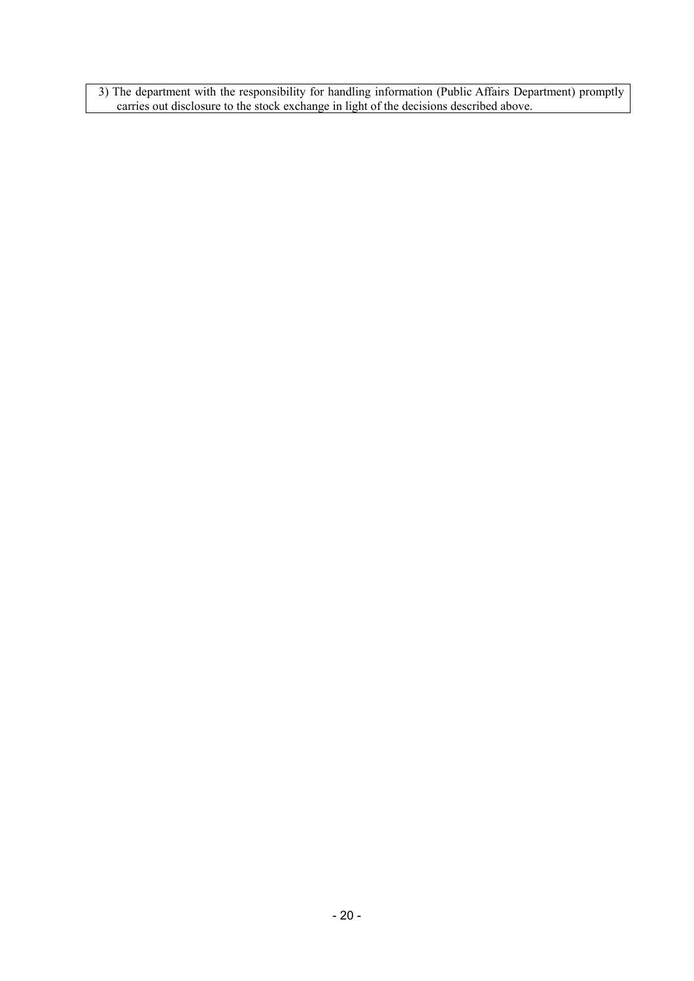3) The department with the responsibility for handling information (Public Affairs Department) promptly carries out disclosure to the stock exchange in light of the decisions described above.